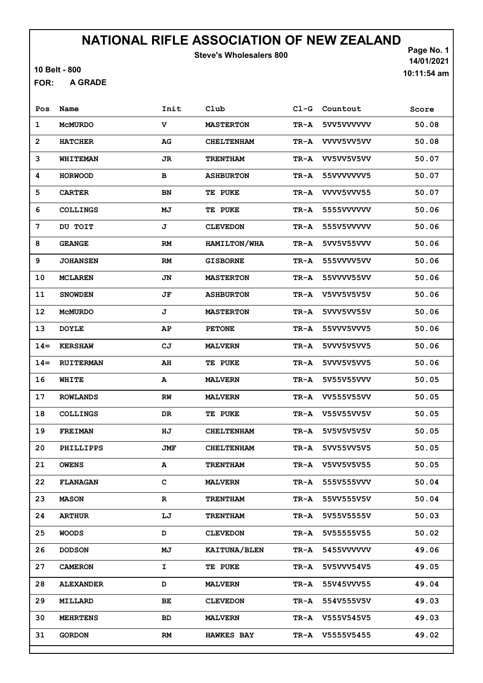Steve's Wholesalers 800

10 Belt - 800

A GRADE FOR:

Page No. 1 14/01/2021 10:11:54 am

| Pos            | Name             | Init | Club              | $C1-G$ | Countout          | Score |
|----------------|------------------|------|-------------------|--------|-------------------|-------|
| 1              | <b>MCMURDO</b>   | v    | <b>MASTERTON</b>  | TR-A   | 5VV5VVVVVV        | 50.08 |
| $\overline{2}$ | <b>HATCHER</b>   | AG   | <b>CHELTENHAM</b> | TR-A   | VVV5VV5VV         | 50.08 |
| 3              | <b>WHITEMAN</b>  | JR   | <b>TRENTHAM</b>   | TR-A   | VV5VV5V5VV        | 50.07 |
| 4              | <b>HORWOOD</b>   | в    | <b>ASHBURTON</b>  | TR-A   | 55VVVVVVV5        | 50.07 |
| 5              | <b>CARTER</b>    | BN   | <b>TE PUKE</b>    | TR-A   | VVVV5VVV55        | 50.07 |
| 6              | <b>COLLINGS</b>  | МJ   | <b>TE PUKE</b>    | TR-A   | 5555VVVVVV        | 50.06 |
| 7              | DU TOIT          | J    | <b>CLEVEDON</b>   | TR-A   | 555V5VVVVV        | 50.06 |
| 8              | <b>GEANGE</b>    | RM   | HAMILTON/WHA      | TR-A   | 5VV5V55VVV        | 50.06 |
| 9              | <b>JOHANSEN</b>  | RM   | <b>GISBORNE</b>   | TR-A   | 555VVVV5VV        | 50.06 |
| 10             | <b>MCLAREN</b>   | JN   | <b>MASTERTON</b>  | TR-A   | 55VVVV55VV        | 50.06 |
| 11             | <b>SNOWDEN</b>   | JF   | <b>ASHBURTON</b>  | TR-A   | V5VV5V5V5V        | 50.06 |
| 12             | <b>MCMURDO</b>   | J    | <b>MASTERTON</b>  | TR-A   | 5VVV5VV55V        | 50.06 |
| 13             | <b>DOYLE</b>     | AP   | <b>PETONE</b>     | TR-A   | 55VVV5VVV5        | 50.06 |
| $14 =$         | <b>KERSHAW</b>   | CJ   | <b>MALVERN</b>    | TR-A   | 5VVV5V5VV5        | 50.06 |
| $14 =$         | <b>RUITERMAN</b> | AH   | TE PUKE           | TR-A   | 5VVV5V5VV5        | 50.06 |
| 16             | WHITE            | А    | <b>MALVERN</b>    | TR-A   | 5V55V55VVV        | 50.05 |
| 17             | <b>ROWLANDS</b>  | RW   | <b>MALVERN</b>    | TR-A   | <b>VV555V55VV</b> | 50.05 |
| 18             | <b>COLLINGS</b>  | DR   | TE PUKE           | TR-A   | V55V55VV5V        | 50.05 |
| 19             | <b>FREIMAN</b>   | HJ   | <b>CHELTENHAM</b> | TR-A   | 5V5V5V5V5V        | 50.05 |
| 20             | PHILLIPPS        | JMF  | <b>CHELTENHAM</b> | TR-A   | 5VV55VV5V5        | 50.05 |
| 21             | <b>OWENS</b>     | А    | <b>TRENTHAM</b>   | TR-A   | V5VV5V5V55        | 50.05 |
| 22             | <b>FLANAGAN</b>  | с    | <b>MALVERN</b>    | TR-A   | 555V555VVV        | 50.04 |
| 23             | <b>MASON</b>     | R    | <b>TRENTHAM</b>   | TR-A   | 55VV555V5V        | 50.04 |
| 24             | <b>ARTHUR</b>    | LJ   | <b>TRENTHAM</b>   | TR-A   | 5V55V5555V        | 50.03 |
| 25             | <b>WOODS</b>     | D    | <b>CLEVEDON</b>   | TR-A   | 5V55555V55        | 50.02 |
| 26             | <b>DODSON</b>    | МJ   | KAITUNA/BLEN      | TR-A   | 5455VVVVVV        | 49.06 |
| 27             | <b>CAMERON</b>   | I.   | TE PUKE           | TR-A   | 5V5VVV54V5        | 49.05 |
| 28             | <b>ALEXANDER</b> | D    | <b>MALVERN</b>    | TR-A   | 55V45VVV55        | 49.04 |
| 29             | <b>MILLARD</b>   | ВE   | <b>CLEVEDON</b>   | TR-A   | 554V555V5V        | 49.03 |
| 30             | <b>MEHRTENS</b>  | BD   | <b>MALVERN</b>    |        | TR-A V555V545V5   | 49.03 |
| 31             | <b>GORDON</b>    | RM   | <b>HAWKES BAY</b> | TR-A   | V5555V5455        | 49.02 |
|                |                  |      |                   |        |                   |       |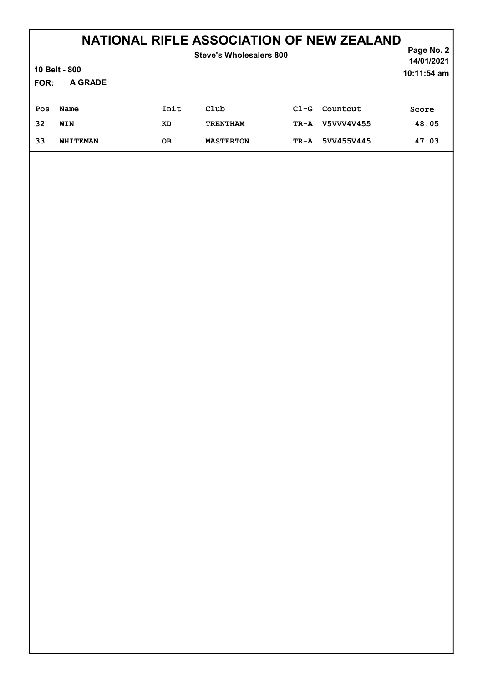|      |                 |      | Steve's Wholesalers 800 |        | Page No. $2 \mid$<br>14/01/2021 |             |
|------|-----------------|------|-------------------------|--------|---------------------------------|-------------|
|      | 10 Belt - 800   |      |                         |        |                                 | 10:11:54 am |
| FOR: | A GRADE         |      |                         |        |                                 |             |
| Pos  | Name            | Init | Club                    | $C1-G$ | Countout                        | Score       |
| 32   | WIN             | KD   | <b>TRENTHAM</b>         | TR-A   | V5VVV4V455                      | 48.05       |
| 33   | <b>WHITEMAN</b> | OВ   | <b>MASTERTON</b>        | TR-A   | 5VV455V445                      | 47.03       |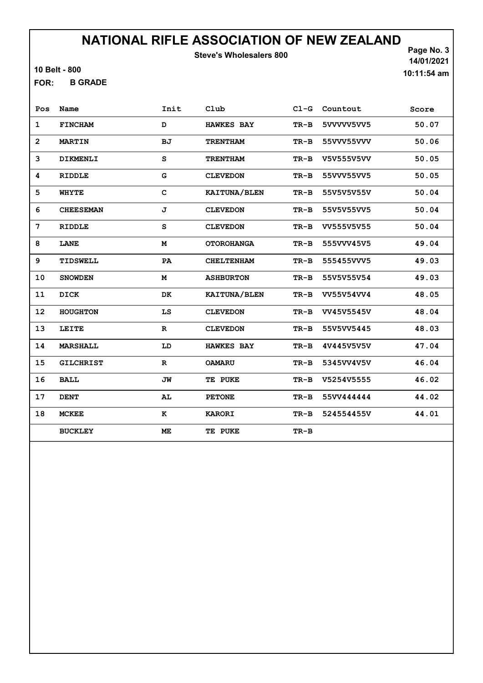Steve's Wholesalers 800

10 Belt - 800

B GRADE FOR:

Page No. 3 14/01/2021 10:11:54 am

| Pos            | Name             | Init        | Club              | $C1-G$ | Countout   | Score |
|----------------|------------------|-------------|-------------------|--------|------------|-------|
| $\mathbf{1}$   | <b>FINCHAM</b>   | D           | <b>HAWKES BAY</b> | $TR-B$ | 5VVVVV5VV5 | 50.07 |
| $\overline{2}$ | <b>MARTIN</b>    | BJ          | <b>TRENTHAM</b>   | $TR-B$ | 55VVV55VVV | 50.06 |
| 3              | <b>DIKMENLI</b>  | S           | <b>TRENTHAM</b>   | $TR-B$ | V5V555V5VV | 50.05 |
| 4              | RIDDLE           | G           | <b>CLEVEDON</b>   | $TR-B$ | 55VVV55VV5 | 50.05 |
| 5              | <b>WHYTE</b>     | $\mathbf C$ | KAITUNA/BLEN      | $TR-B$ | 55V5V5V55V | 50.04 |
| 6              | <b>CHEESEMAN</b> | J           | <b>CLEVEDON</b>   | $TR-B$ | 55V5V55VV5 | 50.04 |
| 7              | RIDDLE           | S           | <b>CLEVEDON</b>   | $TR-B$ | VV555V5V55 | 50.04 |
| 8              | <b>LANE</b>      | M           | <b>OTOROHANGA</b> | $TR-B$ | 555VVV45V5 | 49.04 |
| 9              | TIDSWELL         | PA          | <b>CHELTENHAM</b> | $TR-B$ | 555455VVV5 | 49.03 |
| 10             | <b>SNOWDEN</b>   | M           | <b>ASHBURTON</b>  | $TR-B$ | 55V5V55V54 | 49.03 |
| 11             | <b>DICK</b>      | DK          | KAITUNA/BLEN      | $TR-B$ | VV55V54VV4 | 48.05 |
| 12             | <b>HOUGHTON</b>  | LS          | <b>CLEVEDON</b>   | $TR-B$ | VV45V5545V | 48.04 |
| 13             | LEITE            | $\mathbf R$ | <b>CLEVEDON</b>   | $TR-B$ | 55V5VV5445 | 48.03 |
| 14             | <b>MARSHALL</b>  | LD          | <b>HAWKES BAY</b> | $TR-B$ | 4V445V5V5V | 47.04 |
| 15             | <b>GILCHRIST</b> | $\mathbf R$ | <b>OAMARU</b>     | $TR-B$ | 5345VV4V5V | 46.04 |
| 16             | <b>BALL</b>      | JW          | TE PUKE           | $TR-B$ | V5254V5555 | 46.02 |
| 17             | <b>DENT</b>      | AL          | <b>PETONE</b>     | $TR-B$ | 55VV444444 | 44.02 |
| 18             | <b>MCKEE</b>     | к           | <b>KARORI</b>     | $TR-B$ | 524554455V | 44.01 |
|                | <b>BUCKLEY</b>   | <b>ME</b>   | TE PUKE           | $TR-B$ |            |       |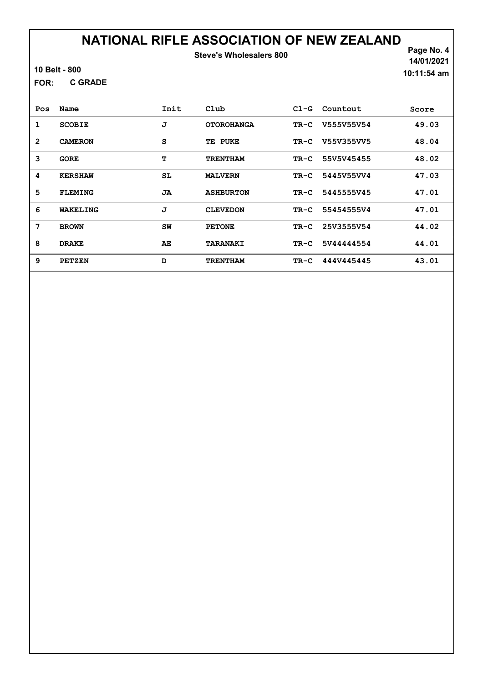#### NATIONAL RIFLE ASSOCIATION OF NEW ZEALAND Steve's Wholesalers 800

10 Belt - 800

C GRADE FOR:

Page No. 4 14/01/2021 10:11:54 am

| Pos            | Name           | Init | $_{\rm Club}$     | $C1-G$ | Countout   | Score |
|----------------|----------------|------|-------------------|--------|------------|-------|
| 1              | <b>SCOBIE</b>  | J    | <b>OTOROHANGA</b> | TR-C   | V555V55V54 | 49.03 |
| $\overline{2}$ | <b>CAMERON</b> | S    | TE PUKE           | TR-C   | V55V355VV5 | 48.04 |
| 3              | <b>GORE</b>    | т    | <b>TRENTHAM</b>   | $TR-C$ | 55V5V45455 | 48.02 |
| 4              | <b>KERSHAW</b> | SL   | <b>MALVERN</b>    | $TR-C$ | 5445V55VV4 | 47.03 |
| 5              | <b>FLEMING</b> | JA   | <b>ASHBURTON</b>  | $TR-C$ | 5445555V45 | 47.01 |
| 6              | WAKELING       | J    | <b>CLEVEDON</b>   | $TR-C$ | 55454555V4 | 47.01 |
| 7              | <b>BROWN</b>   | SW   | <b>PETONE</b>     | $TR-C$ | 25V3555V54 | 44.02 |
| 8              | <b>DRAKE</b>   | AE   | <b>TARANAKI</b>   | $TR-C$ | 5V44444554 | 44.01 |
| 9              | <b>PETZEN</b>  | D    | <b>TRENTHAM</b>   | TR-C   | 444V445445 | 43.01 |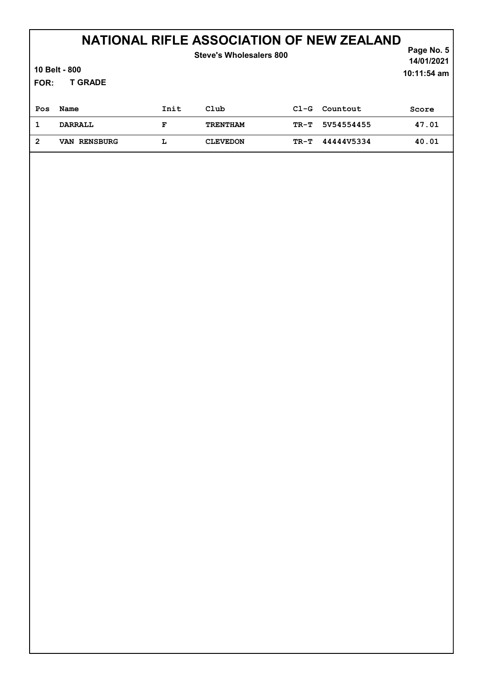|      | Page No. 5<br>14/01/2021 |      |                 |        |            |               |
|------|--------------------------|------|-----------------|--------|------------|---------------|
|      | 10 Belt - 800            |      |                 |        |            | $10:11:54$ am |
| FOR: | <b>T GRADE</b>           |      |                 |        |            |               |
| Pos  | Name                     | Init | Club            | $C1-G$ | Countout   | Score         |
| 1    | <b>DARRALL</b>           | F    | <b>TRENTHAM</b> | $TR-T$ | 5V54554455 | 47.01         |
| 2    | VAN RENSBURG             | Ŀ    | <b>CLEVEDON</b> | TR-T   | 44444V5334 | 40.01         |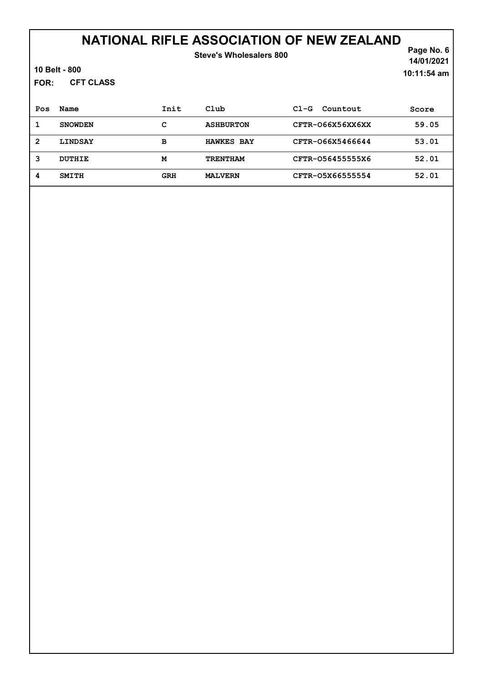| FOR:           | 10 Belt - 800<br><b>CFT CLASS</b> |            | Steve's Wholesalers 800 |                    | Page No. 6<br>14/01/2021<br>$10:11:54$ am |
|----------------|-----------------------------------|------------|-------------------------|--------------------|-------------------------------------------|
| Pos            | Name                              | Init       | Club                    | Countout<br>$C1-G$ | Score                                     |
| 1              | <b>SNOWDEN</b>                    | c          | <b>ASHBURTON</b>        | CFTR-066X56XX6XX   | 59.05                                     |
| $\overline{2}$ | <b>LINDSAY</b>                    | B          | <b>HAWKES BAY</b>       | CFTR-066X5466644   | 53.01                                     |
| 3              | <b>DUTHIE</b>                     | M          | <b>TRENTHAM</b>         | CFTR-056455555X6   | 52.01                                     |
| 4              | <b>SMITH</b>                      | <b>GRH</b> | <b>MALVERN</b>          | CFTR-05X66555554   | 52.01                                     |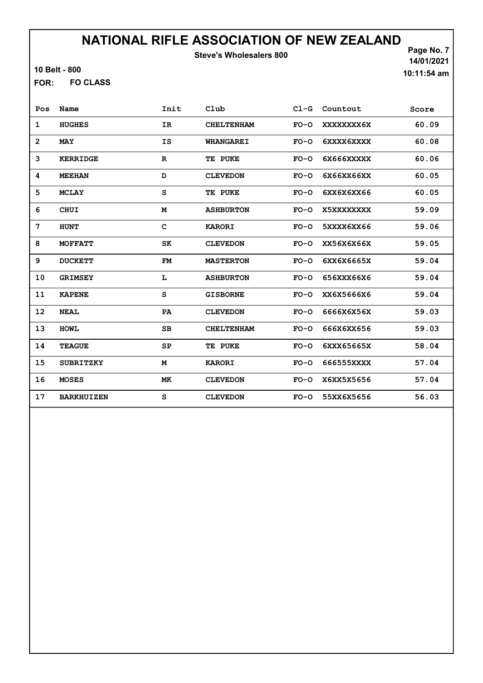Steve's Wholesalers 800

10 Belt - 800

FO CLASS FOR:

Page No. 7 14/01/2021 10:11:54 am

| Pos            | Name              | Init        | Club              | $C1-G$ | Countout   | Score |
|----------------|-------------------|-------------|-------------------|--------|------------|-------|
| 1              | <b>HUGHES</b>     | IR          | <b>CHELTENHAM</b> | $FO-O$ | XXXXXXXX6X | 60.09 |
| $\overline{2}$ | <b>MAY</b>        | <b>IS</b>   | <b>WHANGAREI</b>  | $FO-O$ | 6XXXX6XXXX | 60.08 |
| 3              | <b>KERRIDGE</b>   | $\mathbf R$ | TE PUKE           | $FO-O$ | 6X666XXXXX | 60.06 |
| 4              | <b>MEEHAN</b>     | D           | <b>CLEVEDON</b>   | $FO-O$ | 6X66XX66XX | 60.05 |
| 5              | <b>MCLAY</b>      | S           | TE PUKE           | $FO-O$ | 6XX6X6XX66 | 60.05 |
| 6              | <b>CHUI</b>       | M           | <b>ASHBURTON</b>  | $FO-O$ | X5XXXXXXXX | 59.09 |
| 7              | <b>HUNT</b>       | C           | <b>KARORI</b>     | $FO-O$ | 5XXXX6XX66 | 59.06 |
| 8              | <b>MOFFATT</b>    | SK          | <b>CLEVEDON</b>   | $FO-O$ | XX56X6X66X | 59.05 |
| 9              | <b>DUCKETT</b>    | <b>FM</b>   | <b>MASTERTON</b>  | $FO-O$ | 6XX6X6665X | 59.04 |
| 10             | <b>GRIMSEY</b>    | L           | <b>ASHBURTON</b>  | $FO-O$ | 656XXX66X6 | 59.04 |
| 11             | <b>KAPENE</b>     | S           | <b>GISBORNE</b>   | $FO-O$ | XX6X5666X6 | 59.04 |
| 12             | <b>NEAL</b>       | PA          | <b>CLEVEDON</b>   | $FO-O$ | 6666X6X56X | 59.03 |
| 13             | <b>HOWL</b>       | SB          | <b>CHELTENHAM</b> | $FO-O$ | 666X6XX656 | 59.03 |
| 14             | <b>TEAGUE</b>     | SP          | TE PUKE           | $FO-O$ | 6XXX65665X | 58.04 |
| 15             | <b>SUBRITZKY</b>  | M           | <b>KARORI</b>     | $FO-O$ | 666555XXXX | 57.04 |
| 16             | <b>MOSES</b>      | МK          | <b>CLEVEDON</b>   | $FO-O$ | X6XX5X5656 | 57.04 |
| 17             | <b>BARKHUIZEN</b> | S           | <b>CLEVEDON</b>   | $FO-O$ | 55XX6X5656 | 56.03 |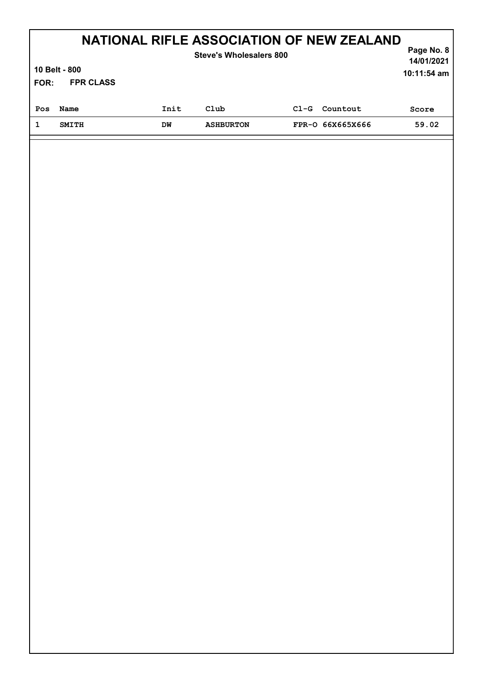|      | NATIONAL RIFLE ASSOCIATION OF NEW ZEALAND<br>Steve's Wholesalers 800 |      |                  |        |                  |       |  |  |
|------|----------------------------------------------------------------------|------|------------------|--------|------------------|-------|--|--|
|      | 10 Belt - 800<br>$10:11:54$ am                                       |      |                  |        |                  |       |  |  |
| FOR: | <b>FPR CLASS</b>                                                     |      |                  |        |                  |       |  |  |
| Pos  | Name                                                                 | Init | Club             | $C1-G$ | Countout         | Score |  |  |
|      | <b>SMITH</b>                                                         | DM   | <b>ASHBURTON</b> |        | FPR-0 66X665X666 | 59.02 |  |  |
|      |                                                                      |      |                  |        |                  |       |  |  |

Л